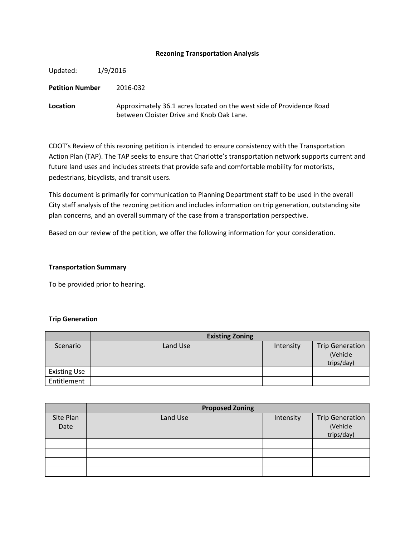### **Rezoning Transportation Analysis**

Updated: 1/9/2016 **Petition Number** 2016-032 **Location** Approximately 36.1 acres located on the west side of Providence Road between Cloister Drive and Knob Oak Lane.

CDOT's Review of this rezoning petition is intended to ensure consistency with the Transportation Action Plan (TAP). The TAP seeks to ensure that Charlotte's transportation network supports current and future land uses and includes streets that provide safe and comfortable mobility for motorists, pedestrians, bicyclists, and transit users.

This document is primarily for communication to Planning Department staff to be used in the overall City staff analysis of the rezoning petition and includes information on trip generation, outstanding site plan concerns, and an overall summary of the case from a transportation perspective.

Based on our review of the petition, we offer the following information for your consideration.

## **Transportation Summary**

To be provided prior to hearing.

#### **Trip Generation**

|                     | <b>Existing Zoning</b> |           |                                                  |
|---------------------|------------------------|-----------|--------------------------------------------------|
| Scenario            | Land Use               | Intensity | <b>Trip Generation</b><br>(Vehicle<br>trips/day) |
| <b>Existing Use</b> |                        |           |                                                  |
| Entitlement         |                        |           |                                                  |

|                   | <b>Proposed Zoning</b> |           |                                                  |  |
|-------------------|------------------------|-----------|--------------------------------------------------|--|
| Site Plan<br>Date | Land Use               | Intensity | <b>Trip Generation</b><br>(Vehicle<br>trips/day) |  |
|                   |                        |           |                                                  |  |
|                   |                        |           |                                                  |  |
|                   |                        |           |                                                  |  |
|                   |                        |           |                                                  |  |